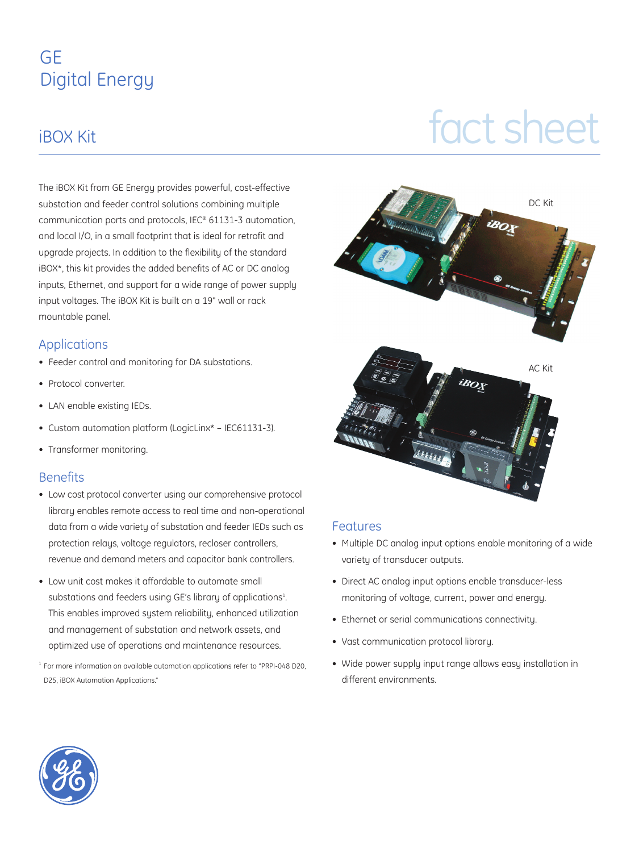### GE Digital Energy

# IBOX Kit

The iBOX Kit from GE Energy provides powerful, cost-effective substation and feeder control solutions combining multiple communication ports and protocols, IEC® 61131-3 automation, and local I/O, in a small footprint that is ideal for retrofit and upgrade projects. In addition to the flexibility of the standard iBOX\*, this kit provides the added benefits of AC or DC analog inputs, Ethernet, and support for a wide range of power supply input voltages. The iBOX Kit is built on a 19" wall or rack mountable panel.

#### Applications

- Feeder control and monitoring for DA substations.
- Protocol converter.
- LAN enable existing IEDs.
- Custom automation platform (LogicLinx\* IEC61131-3).
- Transformer monitoring.

#### **Benefits**

- Low cost protocol converter using our comprehensive protocol library enables remote access to real time and non-operational data from a wide variety of substation and feeder IEDs such as protection relays, voltage regulators, recloser controllers, revenue and demand meters and capacitor bank controllers.
- Low unit cost makes it affordable to automate small substations and feeders using GE's library of applications $^{1}$ . This enables improved system reliability, enhanced utilization and management of substation and network assets, and optimized use of operations and maintenance resources.
- <sup>1</sup> For more information on available automation applications refer to "PRPI-048 D20, D25, iBOX Automation Applications."



#### Features

- Multiple DC analog input options enable monitoring of a wide variety of transducer outputs.
- Direct AC analog input options enable transducer-less monitoring of voltage, current, power and energy.
- Ethernet or serial communications connectivity.
- Vast communication protocol library.
- Wide power supply input range allows easy installation in different environments.